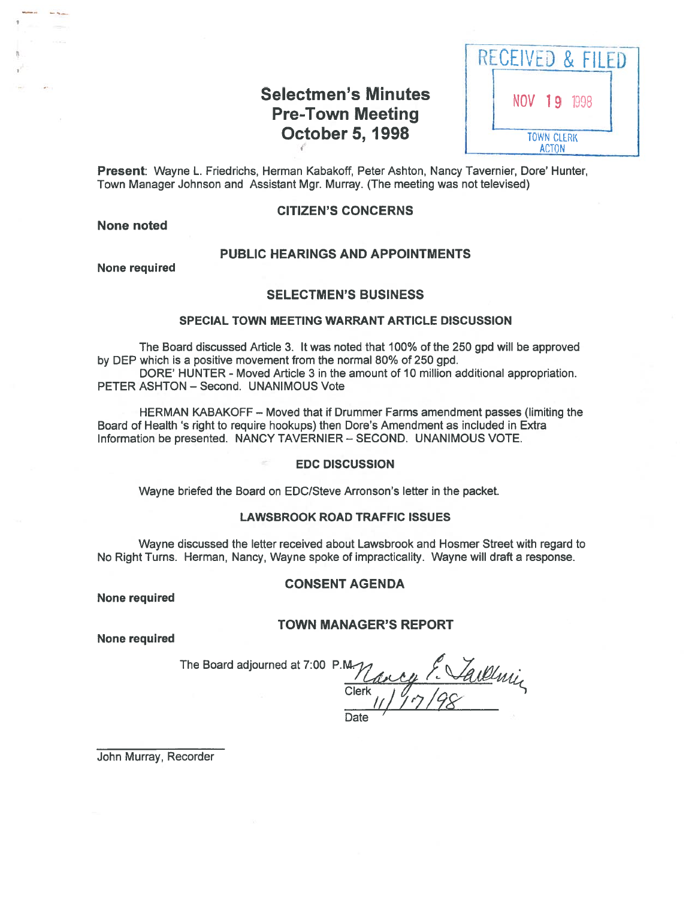## **Selectmen's Minutes** Pre-Town Meeting October 5, 1998



Present: Wayne L. Friedrichs, Herman Kabakoff, Peter Ashton, Nancy Tavernier, Dore' Hunter, Town Manager Johnson and Assistant Mgr. Murray. (The meeting was not televised)

### None noted

### CITIZEN'S CONCERNS

None required

### PUBLIC HEARINGS AND APPOINTMENTS

### SELECTMEN'S BUSINESS

### SPECIAL TOWN MEETING WARRANT ARTICLE DISCUSSION

The Board discussed Article 3. It was noted that 100% of the 250 gpd will be approved by DEP which is <sup>a</sup> positive movement from the normal 80% of 250 gpd.

DORE' HUNTER - Moved Article 3 in the amount of 10 million additional appropriation. PETER ASHTON — Second. UNANIMOUS Vote

HERMAN KABAKOFF — Moved that if Drummer Farms amendment passes (limiting the Board of Health 's right to require hookups) then Dore's Amendment as included in Extra Information be presented. NANCY TAVERNIER — SECOND. UNANIMOUS VOTE.

### EDC DISCUSSION

Wayne briefed the Board on EDC/Steve Arronson's letter in the packet.

### LAWSBROOK ROAD TRAFFIC ISSUES

Wayne discussed the letter received about Lawsbrook and Hosmer Street with regard to No Right Turns. Herman, Nancy, Wayne spoke of impracticality. Wayne will draft <sup>a</sup> response.

None required

### CONSENT AGENDA

TOWN MANAGER'S REPORT

None required

The Board adjourned at 7:00 P.M.

è

/ 1' Clerk  $1/1/7/98$ Date /

John Murray, Recorder